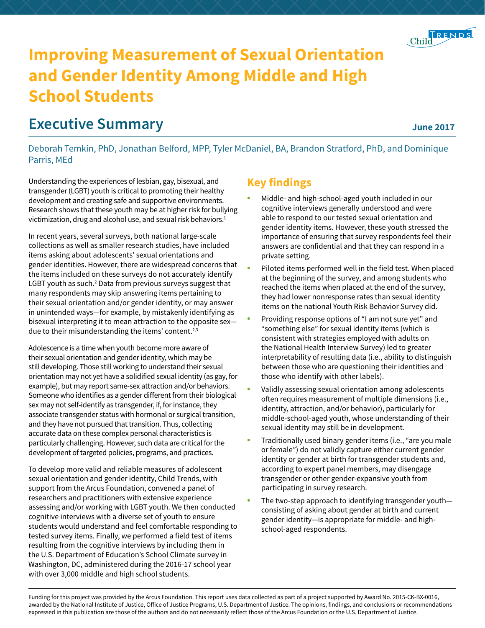

# **Improving Measurement of Sexual Orientation and Gender Identity Among Middle and High School Students**

## **Executive Summary**

#### **June 2017**

Deborah Temkin, PhD, Jonathan Belford, MPP, Tyler McDaniel, BA, Brandon Stratford, PhD, and Dominique Parris, MEd

Understanding the experiences of lesbian, gay, bisexual, and transgender (LGBT) youth is critical to promoting their healthy development and creating safe and supportive environments. Research shows that these youth may be at higher risk for bullying victimization, drug and alcohol use, and sexual risk behaviors.<sup>1</sup>

In recent years, several surveys, both national large-scale collections as well as smaller research studies, have included items asking about adolescents' sexual orientations and gender identities. However, there are widespread concerns that the items included on these surveys do not accurately identify LGBT youth as such.<sup>2</sup> Data from previous surveys suggest that many respondents may skip answering items pertaining to their sexual orientation and/or gender identity, or may answer in unintended ways—for example, by mistakenly identifying as bisexual interpreting it to mean attraction to the opposite sex due to their misunderstanding the items' content.<sup>2,3</sup>

Adolescence is a time when youth become more aware of their sexual orientation and gender identity, which may be still developing. Those still working to understand their sexual orientation may not yet have a solidified sexual identity (as gay, for example), but may report same-sex attraction and/or behaviors. Someone who identifies as a gender different from their biological sex may not self-identify as transgender, if, for instance, they associate transgender status with hormonal or surgical transition, and they have not pursued that transition. Thus, collecting accurate data on these complex personal characteristics is particularly challenging. However, such data are critical for the development of targeted policies, programs, and practices.

To develop more valid and reliable measures of adolescent sexual orientation and gender identity, Child Trends, with support from the Arcus Foundation, convened a panel of researchers and practitioners with extensive experience assessing and/or working with LGBT youth. We then conducted cognitive interviews with a diverse set of youth to ensure students would understand and feel comfortable responding to tested survey items. Finally, we performed a field test of items resulting from the cognitive interviews by including them in the U.S. Department of Education's School Climate survey in Washington, DC, administered during the 2016-17 school year with over 3,000 middle and high school students.

## **Key findings**

- Middle- and high-school-aged youth included in our cognitive interviews generally understood and were able to respond to our tested sexual orientation and gender identity items. However, these youth stressed the importance of ensuring that survey respondents feel their answers are confidential and that they can respond in a private setting.
- Piloted items performed well in the field test. When placed at the beginning of the survey, and among students who reached the items when placed at the end of the survey, they had lower nonresponse rates than sexual identity items on the national Youth Risk Behavior Survey did.
- Providing response options of "I am not sure yet" and "something else" for sexual identity items (which is consistent with strategies employed with adults on the National Health Interview Survey) led to greater interpretability of resulting data (i.e., ability to distinguish between those who are questioning their identities and those who identify with other labels).
- Validly assessing sexual orientation among adolescents often requires measurement of multiple dimensions (i.e., identity, attraction, and/or behavior), particularly for middle-school-aged youth, whose understanding of their sexual identity may still be in development.
- Traditionally used binary gender items (i.e., "are you male or female") do not validly capture either current gender identity or gender at birth for transgender students and, according to expert panel members, may disengage transgender or other gender-expansive youth from participating in survey research.
- The two-step approach to identifying transgender youthconsisting of asking about gender at birth and current gender identity—is appropriate for middle- and highschool-aged respondents.

Funding for this project was provided by the Arcus Foundation. This report uses data collected as part of a project supported by Award No. 2015-CK-BX-0016, awarded by the National Institute of Justice, Office of Justice Programs, U.S. Department of Justice. The opinions, findings, and conclusions or recommendations expressed in this publication are those of the authors and do not necessarily reflect those of the Arcus Foundation or the U.S. Department of Justice.